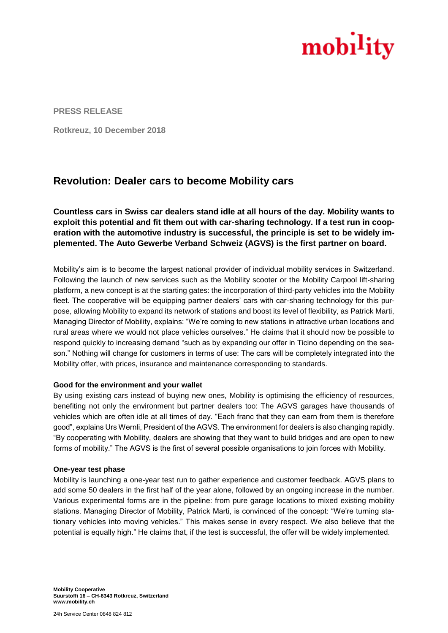

**PRESS RELEASE**

**Rotkreuz, 10 December 2018**

# **Revolution: Dealer cars to become Mobility cars**

**Countless cars in Swiss car dealers stand idle at all hours of the day. Mobility wants to exploit this potential and fit them out with car-sharing technology. If a test run in cooperation with the automotive industry is successful, the principle is set to be widely implemented. The Auto Gewerbe Verband Schweiz (AGVS) is the first partner on board.** 

Mobility's aim is to become the largest national provider of individual mobility services in Switzerland. Following the launch of new services such as the Mobility scooter or the Mobility Carpool lift-sharing platform, a new concept is at the starting gates: the incorporation of third-party vehicles into the Mobility fleet. The cooperative will be equipping partner dealers' cars with car-sharing technology for this purpose, allowing Mobility to expand its network of stations and boost its level of flexibility, as Patrick Marti, Managing Director of Mobility, explains: "We're coming to new stations in attractive urban locations and rural areas where we would not place vehicles ourselves." He claims that it should now be possible to respond quickly to increasing demand "such as by expanding our offer in Ticino depending on the season." Nothing will change for customers in terms of use: The cars will be completely integrated into the Mobility offer, with prices, insurance and maintenance corresponding to standards.

## **Good for the environment and your wallet**

By using existing cars instead of buying new ones, Mobility is optimising the efficiency of resources, benefiting not only the environment but partner dealers too: The AGVS garages have thousands of vehicles which are often idle at all times of day. "Each franc that they can earn from them is therefore good", explains Urs Wernli, President of the AGVS. The environment for dealers is also changing rapidly. "By cooperating with Mobility, dealers are showing that they want to build bridges and are open to new forms of mobility." The AGVS is the first of several possible organisations to join forces with Mobility.

## **One-year test phase**

Mobility is launching a one-year test run to gather experience and customer feedback. AGVS plans to add some 50 dealers in the first half of the year alone, followed by an ongoing increase in the number. Various experimental forms are in the pipeline: from pure garage locations to mixed existing mobility stations. Managing Director of Mobility, Patrick Marti, is convinced of the concept: "We're turning stationary vehicles into moving vehicles." This makes sense in every respect. We also believe that the potential is equally high." He claims that, if the test is successful, the offer will be widely implemented.